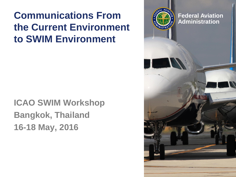### **Communications From the Current Environment to SWIM Environment**

### **ICAO SWIM Workshop Bangkok, Thailand 16-18 May, 2016**

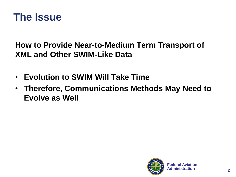

**How to Provide Near-to-Medium Term Transport of XML and Other SWIM-Like Data**

- **Evolution to SWIM Will Take Time**
- **Therefore, Communications Methods May Need to Evolve as Well**

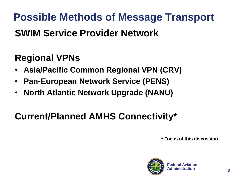**Possible Methods of Message Transport SWIM Service Provider Network**

# **Regional VPNs**

- **Asia/Pacific Common Regional VPN (CRV)**
- **Pan-European Network Service (PENS)**
- **North Atlantic Network Upgrade (NANU)**

## **Current/Planned AMHS Connectivity\***

**\* Focus of this discussion**

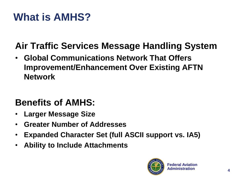# **What is AMHS?**

## **Air Traffic Services Message Handling System**

• **Global Communications Network That Offers Improvement/Enhancement Over Existing AFTN Network**

### **Benefits of AMHS:**

- **Larger Message Size**
- **Greater Number of Addresses**
- **Expanded Character Set (full ASCII support vs. IA5)**
- **Ability to Include Attachments**

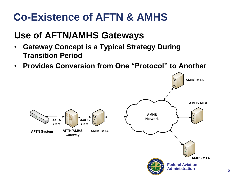# **Co-Existence of AFTN & AMHS**

### **Use of AFTN/AMHS Gateways**

- **Gateway Concept is a Typical Strategy During Transition Period**
- **Provides Conversion from One "Protocol" to Another**

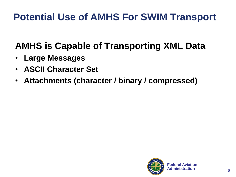# **Potential Use of AMHS For SWIM Transport**

## **AMHS is Capable of Transporting XML Data**

- **Large Messages**
- **ASCII Character Set**
- **Attachments (character / binary / compressed)**

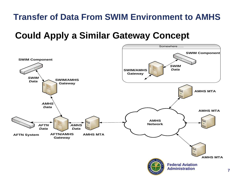#### **Transfer of Data From SWIM Environment to AMHS**

#### **Could Apply a Similar Gateway Concept**

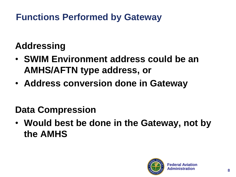### **Functions Performed by Gateway**

# **Addressing**

- **SWIM Environment address could be an AMHS/AFTN type address, or**
- **Address conversion done in Gateway**

# **Data Compression**

• **Would best be done in the Gateway, not by the AMHS**

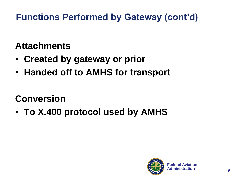### **Functions Performed by Gateway (cont'd)**

### **Attachments**

- **Created by gateway or prior**
- **Handed off to AMHS for transport**

# **Conversion**

• **To X.400 protocol used by AMHS**

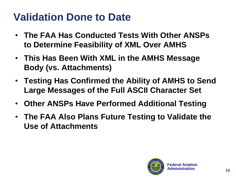# **Validation Done to Date**

- **The FAA Has Conducted Tests With Other ANSPs to Determine Feasibility of XML Over AMHS**
- **This Has Been With XML in the AMHS Message Body (vs. Attachments)**
- **Testing Has Confirmed the Ability of AMHS to Send Large Messages of the Full ASCII Character Set**
- **Other ANSPs Have Performed Additional Testing**
- **The FAA Also Plans Future Testing to Validate the Use of Attachments**